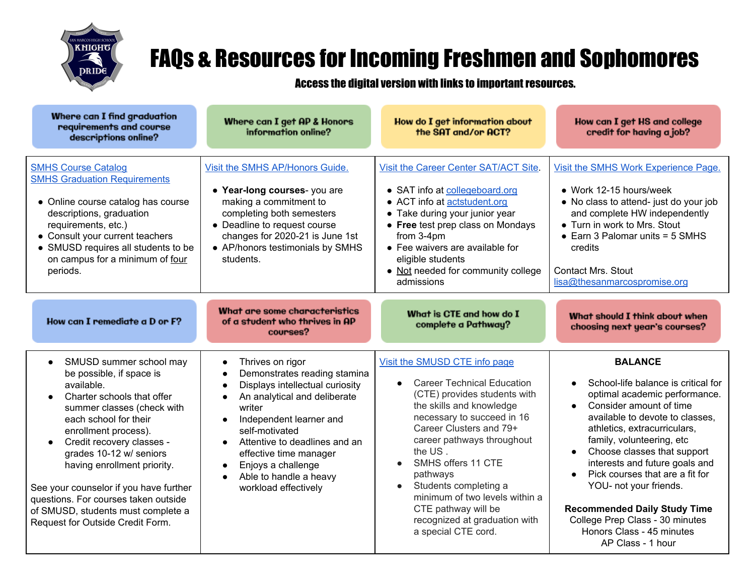

## FAQs & Resources for Incoming Freshmen and Sophomores

## Access the digital version with links to important resources.

| Where can I find graduation<br>requirements and course<br>descriptions online?                                                                                                                                                                                                                                                                                                                                                                              | Where can I get AP & Honors<br>information online?                                                                                                                                                                                                                                                                                                                             | How do I get information about<br>the SAT and/or ACT?                                                                                                                                                                                                                                                                                                                                                                                  | How can I get HS and college<br>credit for having a job?                                                                                                                                                                                                                                                                                                                                                                                                                                              |
|-------------------------------------------------------------------------------------------------------------------------------------------------------------------------------------------------------------------------------------------------------------------------------------------------------------------------------------------------------------------------------------------------------------------------------------------------------------|--------------------------------------------------------------------------------------------------------------------------------------------------------------------------------------------------------------------------------------------------------------------------------------------------------------------------------------------------------------------------------|----------------------------------------------------------------------------------------------------------------------------------------------------------------------------------------------------------------------------------------------------------------------------------------------------------------------------------------------------------------------------------------------------------------------------------------|-------------------------------------------------------------------------------------------------------------------------------------------------------------------------------------------------------------------------------------------------------------------------------------------------------------------------------------------------------------------------------------------------------------------------------------------------------------------------------------------------------|
| <b>SMHS Course Catalog</b><br><b>SMHS Graduation Requirements</b><br>• Online course catalog has course<br>descriptions, graduation<br>requirements, etc.)<br>• Consult your current teachers<br>• SMUSD requires all students to be<br>on campus for a minimum of four<br>periods.                                                                                                                                                                         | Visit the SMHS AP/Honors Guide.<br>• Year-long courses-you are<br>making a commitment to<br>completing both semesters<br>• Deadline to request course<br>changes for 2020-21 is June 1st<br>• AP/honors testimonials by SMHS<br>students.                                                                                                                                      | Visit the Career Center SAT/ACT Site.<br>• SAT info at collegeboard.org<br>• ACT info at actstudent.org<br>• Take during your junior year<br>• Free test prep class on Mondays<br>from 3-4pm<br>• Fee waivers are available for<br>eligible students<br>• Not needed for community college<br>admissions                                                                                                                               | Visit the SMHS Work Experience Page.<br>• Work 12-15 hours/week<br>• No class to attend- just do your job<br>and complete HW independently<br>• Turn in work to Mrs. Stout<br>$\bullet$ Earn 3 Palomar units = 5 SMHS<br>credits<br><b>Contact Mrs. Stout</b><br>lisa@thesanmarcospromise.org                                                                                                                                                                                                         |
| How can I remediate a D or F?                                                                                                                                                                                                                                                                                                                                                                                                                               | What are some characteristics<br>of a student who thrives in AP<br>courses?                                                                                                                                                                                                                                                                                                    | What is CTE and how do I<br>complete a Pathway?                                                                                                                                                                                                                                                                                                                                                                                        | What should I think about when<br>choosing next year's courses?                                                                                                                                                                                                                                                                                                                                                                                                                                       |
| SMUSD summer school may<br>$\bullet$<br>be possible, if space is<br>available.<br>Charter schools that offer<br>summer classes (check with<br>each school for their<br>enrollment process).<br>Credit recovery classes -<br>$\bullet$<br>grades 10-12 w/ seniors<br>having enrollment priority.<br>See your counselor if you have further<br>questions. For courses taken outside<br>of SMUSD, students must complete a<br>Request for Outside Credit Form. | Thrives on rigor<br>$\bullet$<br>Demonstrates reading stamina<br>Displays intellectual curiosity<br>An analytical and deliberate<br>$\bullet$<br>writer<br>Independent learner and<br>$\bullet$<br>self-motivated<br>Attentive to deadlines and an<br>$\bullet$<br>effective time manager<br>Enjoys a challenge<br>$\bullet$<br>Able to handle a heavy<br>workload effectively | Visit the SMUSD CTE info page<br><b>Career Technical Education</b><br>$\bullet$<br>(CTE) provides students with<br>the skills and knowledge<br>necessary to succeed in 16<br>Career Clusters and 79+<br>career pathways throughout<br>the US.<br>SMHS offers 11 CTE<br>pathways<br>Students completing a<br>$\bullet$<br>minimum of two levels within a<br>CTE pathway will be<br>recognized at graduation with<br>a special CTE cord. | <b>BALANCE</b><br>School-life balance is critical for<br>optimal academic performance.<br>Consider amount of time<br>$\bullet$<br>available to devote to classes.<br>athletics, extracurriculars,<br>family, volunteering, etc<br>Choose classes that support<br>interests and future goals and<br>Pick courses that are a fit for<br>$\bullet$<br>YOU- not your friends.<br><b>Recommended Daily Study Time</b><br>College Prep Class - 30 minutes<br>Honors Class - 45 minutes<br>AP Class - 1 hour |